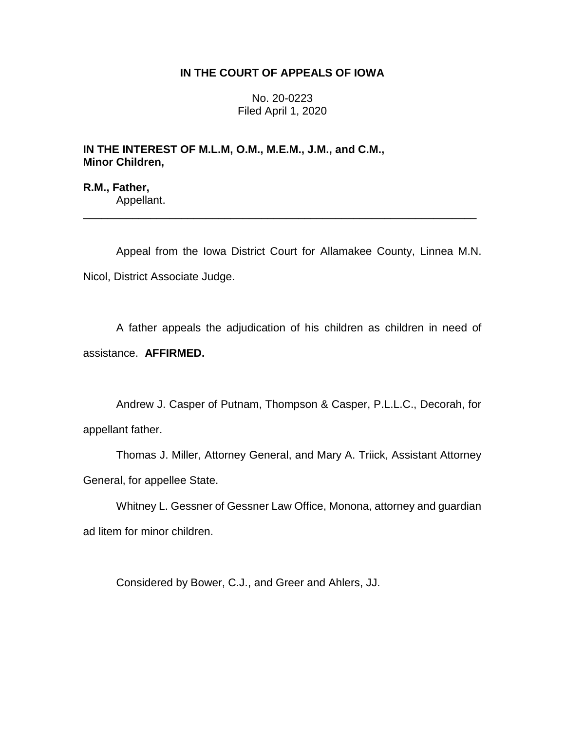## **IN THE COURT OF APPEALS OF IOWA**

No. 20-0223 Filed April 1, 2020

## **IN THE INTEREST OF M.L.M, O.M., M.E.M., J.M., and C.M., Minor Children,**

**R.M., Father,** Appellant.

Appeal from the Iowa District Court for Allamakee County, Linnea M.N. Nicol, District Associate Judge.

\_\_\_\_\_\_\_\_\_\_\_\_\_\_\_\_\_\_\_\_\_\_\_\_\_\_\_\_\_\_\_\_\_\_\_\_\_\_\_\_\_\_\_\_\_\_\_\_\_\_\_\_\_\_\_\_\_\_\_\_\_\_\_\_

A father appeals the adjudication of his children as children in need of assistance. **AFFIRMED.** 

Andrew J. Casper of Putnam, Thompson & Casper, P.L.L.C., Decorah, for appellant father.

Thomas J. Miller, Attorney General, and Mary A. Triick, Assistant Attorney General, for appellee State.

Whitney L. Gessner of Gessner Law Office, Monona, attorney and guardian ad litem for minor children.

Considered by Bower, C.J., and Greer and Ahlers, JJ.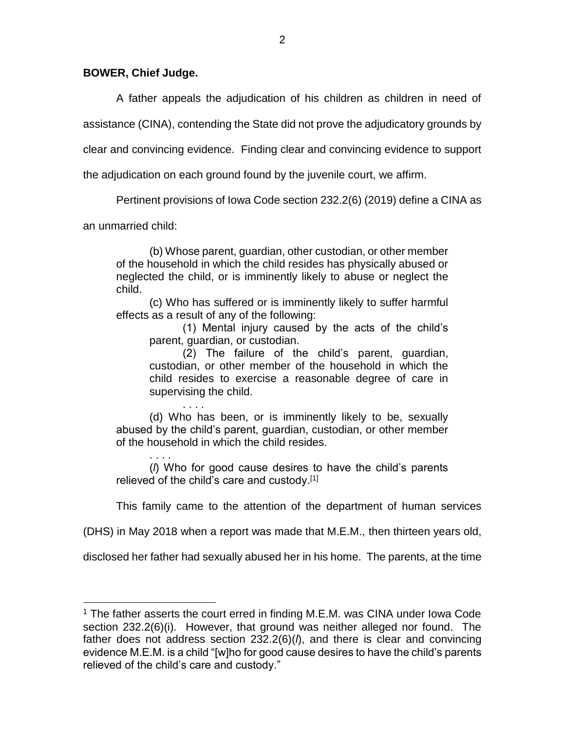## **BOWER, Chief Judge.**

A father appeals the adjudication of his children as children in need of

assistance (CINA), contending the State did not prove the adjudicatory grounds by

clear and convincing evidence. Finding clear and convincing evidence to support

the adjudication on each ground found by the juvenile court, we affirm.

Pertinent provisions of Iowa Code section 232.2(6) (2019) define a CINA as

an unmarried child:

 $\overline{a}$ 

(b) Whose parent, guardian, other custodian, or other member of the household in which the child resides has physically abused or neglected the child, or is imminently likely to abuse or neglect the child.

(c) Who has suffered or is imminently likely to suffer harmful effects as a result of any of the following:

(1) Mental injury caused by the acts of the child's parent, guardian, or custodian.

(2) The failure of the child's parent, guardian, custodian, or other member of the household in which the child resides to exercise a reasonable degree of care in supervising the child.

. . . . (d) Who has been, or is imminently likely to be, sexually abused by the child's parent, guardian, custodian, or other member of the household in which the child resides.

. . . . (*l*) Who for good cause desires to have the child's parents relieved of the child's care and custody.<sup>[1]</sup>

This family came to the attention of the department of human services

(DHS) in May 2018 when a report was made that M.E.M., then thirteen years old,

disclosed her father had sexually abused her in his home. The parents, at the time

<sup>&</sup>lt;sup>1</sup> The father asserts the court erred in finding M.E.M. was CINA under Iowa Code section 232.2(6)(i). However, that ground was neither alleged nor found. The father does not address section 232.2(6)(*l*), and there is clear and convincing evidence M.E.M. is a child "[w]ho for good cause desires to have the child's parents relieved of the child's care and custody."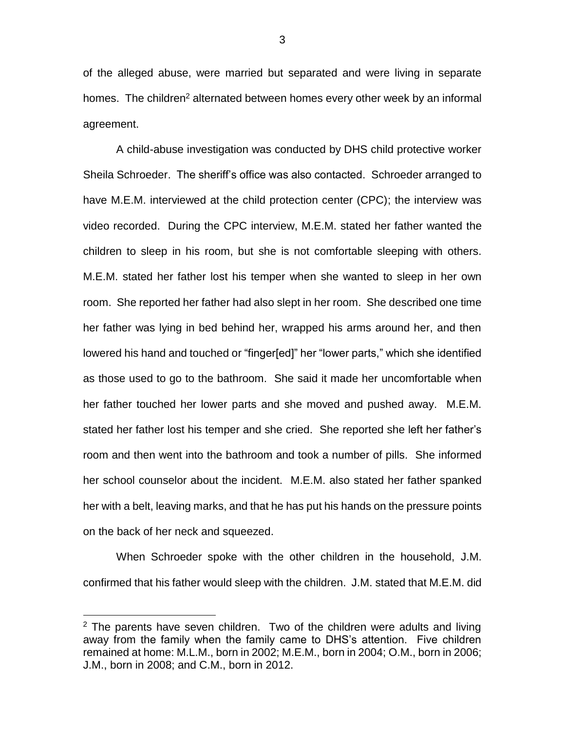of the alleged abuse, were married but separated and were living in separate homes. The children<sup>2</sup> alternated between homes every other week by an informal agreement.

A child-abuse investigation was conducted by DHS child protective worker Sheila Schroeder. The sheriff's office was also contacted. Schroeder arranged to have M.E.M. interviewed at the child protection center (CPC); the interview was video recorded. During the CPC interview, M.E.M. stated her father wanted the children to sleep in his room, but she is not comfortable sleeping with others. M.E.M. stated her father lost his temper when she wanted to sleep in her own room. She reported her father had also slept in her room. She described one time her father was lying in bed behind her, wrapped his arms around her, and then lowered his hand and touched or "finger[ed]" her "lower parts," which she identified as those used to go to the bathroom. She said it made her uncomfortable when her father touched her lower parts and she moved and pushed away. M.E.M. stated her father lost his temper and she cried. She reported she left her father's room and then went into the bathroom and took a number of pills. She informed her school counselor about the incident. M.E.M. also stated her father spanked her with a belt, leaving marks, and that he has put his hands on the pressure points on the back of her neck and squeezed.

When Schroeder spoke with the other children in the household, J.M. confirmed that his father would sleep with the children. J.M. stated that M.E.M. did

 $\overline{a}$ 

 $2$  The parents have seven children. Two of the children were adults and living away from the family when the family came to DHS's attention. Five children remained at home: M.L.M., born in 2002; M.E.M., born in 2004; O.M., born in 2006; J.M., born in 2008; and C.M., born in 2012.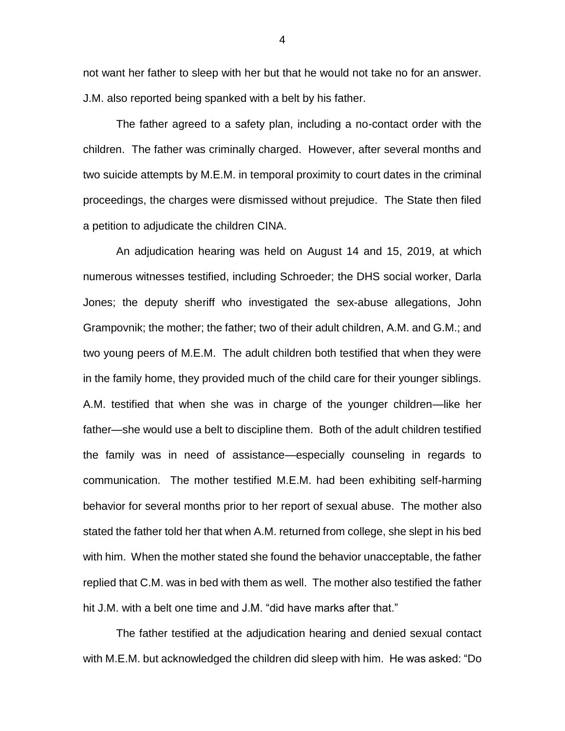not want her father to sleep with her but that he would not take no for an answer. J.M. also reported being spanked with a belt by his father.

The father agreed to a safety plan, including a no-contact order with the children. The father was criminally charged. However, after several months and two suicide attempts by M.E.M. in temporal proximity to court dates in the criminal proceedings, the charges were dismissed without prejudice. The State then filed a petition to adjudicate the children CINA.

An adjudication hearing was held on August 14 and 15, 2019, at which numerous witnesses testified, including Schroeder; the DHS social worker, Darla Jones; the deputy sheriff who investigated the sex-abuse allegations, John Grampovnik; the mother; the father; two of their adult children, A.M. and G.M.; and two young peers of M.E.M. The adult children both testified that when they were in the family home, they provided much of the child care for their younger siblings. A.M. testified that when she was in charge of the younger children—like her father—she would use a belt to discipline them. Both of the adult children testified the family was in need of assistance—especially counseling in regards to communication. The mother testified M.E.M. had been exhibiting self-harming behavior for several months prior to her report of sexual abuse. The mother also stated the father told her that when A.M. returned from college, she slept in his bed with him. When the mother stated she found the behavior unacceptable, the father replied that C.M. was in bed with them as well. The mother also testified the father hit J.M. with a belt one time and J.M. "did have marks after that."

The father testified at the adjudication hearing and denied sexual contact with M.E.M. but acknowledged the children did sleep with him. He was asked: "Do

4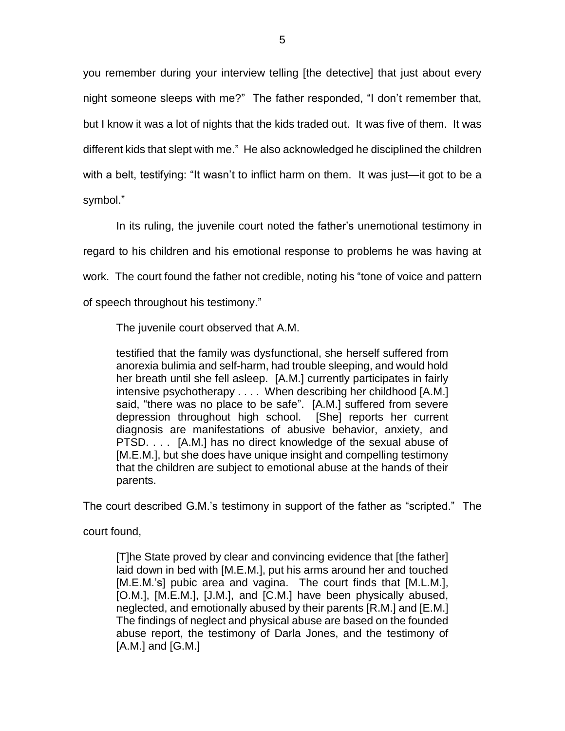you remember during your interview telling [the detective] that just about every night someone sleeps with me?" The father responded, "I don't remember that, but I know it was a lot of nights that the kids traded out. It was five of them. It was different kids that slept with me." He also acknowledged he disciplined the children with a belt, testifying: "It wasn't to inflict harm on them. It was just—it got to be a symbol."

In its ruling, the juvenile court noted the father's unemotional testimony in regard to his children and his emotional response to problems he was having at work. The court found the father not credible, noting his "tone of voice and pattern of speech throughout his testimony."

The juvenile court observed that A.M.

testified that the family was dysfunctional, she herself suffered from anorexia bulimia and self-harm, had trouble sleeping, and would hold her breath until she fell asleep. [A.M.] currently participates in fairly intensive psychotherapy . . . . When describing her childhood [A.M.] said, "there was no place to be safe". [A.M.] suffered from severe depression throughout high school. [She] reports her current diagnosis are manifestations of abusive behavior, anxiety, and PTSD. . . . [A.M.] has no direct knowledge of the sexual abuse of [M.E.M.], but she does have unique insight and compelling testimony that the children are subject to emotional abuse at the hands of their parents.

The court described G.M.'s testimony in support of the father as "scripted." The

court found,

[T]he State proved by clear and convincing evidence that [the father] laid down in bed with [M.E.M.], put his arms around her and touched [M.E.M.'s] pubic area and vagina. The court finds that [M.L.M.], [O.M.], [M.E.M.], [J.M.], and [C.M.] have been physically abused, neglected, and emotionally abused by their parents [R.M.] and [E.M.] The findings of neglect and physical abuse are based on the founded abuse report, the testimony of Darla Jones, and the testimony of [A.M.] and [G.M.]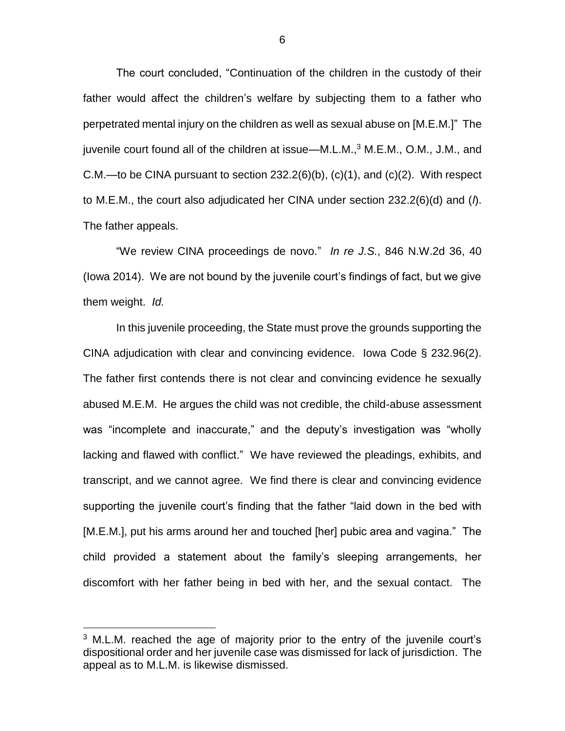The court concluded, "Continuation of the children in the custody of their father would affect the children's welfare by subjecting them to a father who perpetrated mental injury on the children as well as sexual abuse on [M.E.M.]" The juvenile court found all of the children at issue—M.L.M., $3$  M.E.M., O.M., J.M., and C.M.—to be CINA pursuant to section  $232.2(6)(b)$ ,  $(c)(1)$ , and  $(c)(2)$ . With respect to M.E.M., the court also adjudicated her CINA under section 232.2(6)(d) and (*l*). The father appeals.

"We review CINA proceedings de novo." *In re J.S.*, 846 N.W.2d 36, 40 (Iowa 2014). We are not bound by the juvenile court's findings of fact, but we give them weight. *Id.*

In this juvenile proceeding, the State must prove the grounds supporting the CINA adjudication with clear and convincing evidence. Iowa Code § 232.96(2). The father first contends there is not clear and convincing evidence he sexually abused M.E.M. He argues the child was not credible, the child-abuse assessment was "incomplete and inaccurate," and the deputy's investigation was "wholly lacking and flawed with conflict." We have reviewed the pleadings, exhibits, and transcript, and we cannot agree. We find there is clear and convincing evidence supporting the juvenile court's finding that the father "laid down in the bed with [M.E.M.], put his arms around her and touched [her] pubic area and vagina." The child provided a statement about the family's sleeping arrangements, her discomfort with her father being in bed with her, and the sexual contact. The

 $\overline{a}$ 

 $3$  M.L.M. reached the age of majority prior to the entry of the juvenile court's dispositional order and her juvenile case was dismissed for lack of jurisdiction. The appeal as to M.L.M. is likewise dismissed.